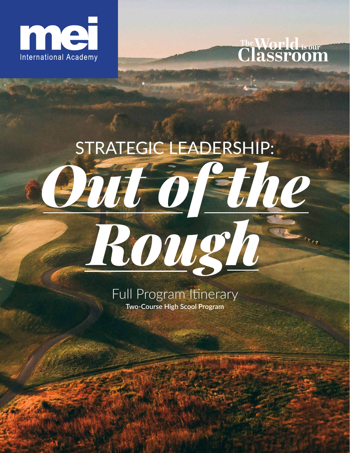



# STRATEGIC LEADERSHIP: *Out of the Rough*

Full Program Itinerary **Two-Course High Scool Program**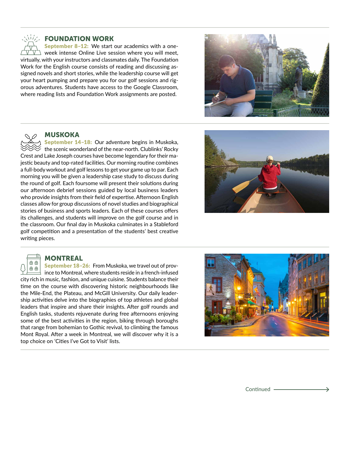# FOUNDATION WORK

September 8–12: We start our academics with a oneweek intense Online Live session where you will meet, virtually, with your instructors and classmates daily. The Foundation Work for the English course consists of reading and discussing assigned novels and short stories, while the leadership course will get your heart pumping and prepare you for our golf sessions and rigorous adventures. Students have access to the Google Classroom, where reading lists and Foundation Work assignments are posted.





√i/⁄∠

## MUSKOKA

September 14–18: Our adventure begins in Muskoka, the scenic wonderland of the near-north. Clublinks' Rocky Crest and Lake Joseph courses have become legendary for their majestic beauty and top-rated facilities. Our morning routine combines a full-body workout and golf lessons to get your game up to par. Each morning you will be given a leadership case study to discuss during the round of golf. Each foursome will present their solutions during our afternoon debrief sessions guided by local business leaders who provide insights from their field of expertise. Afternoon English classes allow for group discussions of novel studies and biographical stories of business and sports leaders. Each of these courses offers its challenges, and students will improve on the golf course and in the classroom. Our final day in Muskoka culminates in a Stableford golf competition and a presentation of the students' best creative writing pieces.



# $\oplus$   $\oplus$

**MONTREAL** 

September 18–26: From Muskoka, we travel out of prov- $\oplus$   $\oplus$ ince to Montreal, where students reside in a french-infused city rich in music, fashion, and unique cuisine. Students balance their time on the course with discovering historic neighbourhoods like the Mile-End, the Plateau, and McGill University. Our daily leadership activities delve into the biographies of top athletes and global leaders that inspire and share their insights. After golf rounds and English tasks, students rejuvenate during free afternoons enjoying some of the best activities in the region, biking through boroughs that range from bohemian to Gothic revival, to climbing the famous Mont Royal. After a week in Montreal, we will discover why it is a top choice on 'Cities I've Got to Visit' lists.



Continued -